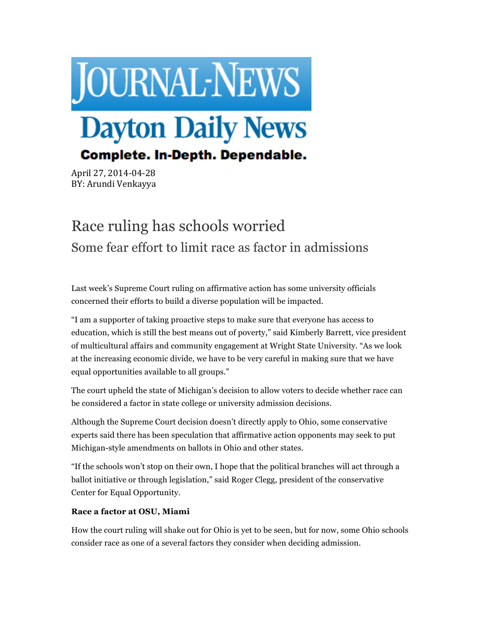

April 27, 2014-04-28 BY: Arundi Venkayya

## Race ruling has schools worried Some fear effort to limit race as factor in admissions

Last week's Supreme Court ruling on affirmative action has some university officials concerned their efforts to build a diverse population will be impacted.

"I am a supporter of taking proactive steps to make sure that everyone has access to education, which is still the best means out of poverty," said Kimberly Barrett, vice president of multicultural affairs and community engagement at Wright State University. "As we look at the increasing economic divide, we have to be very careful in making sure that we have equal opportunities available to all groups."

The court upheld the state of Michigan's decision to allow voters to decide whether race can be considered a factor in state college or university admission decisions.

Although the Supreme Court decision doesn't directly apply to Ohio, some conservative experts said there has been speculation that affirmative action opponents may seek to put Michigan-style amendments on ballots in Ohio and other states.

"If the schools won't stop on their own, I hope that the political branches will act through a ballot initiative or through legislation," said Roger Clegg, president of the conservative Center for Equal Opportunity.

## **Race a factor at OSU, Miami**

How the court ruling will shake out for Ohio is yet to be seen, but for now, some Ohio schools consider race as one of a several factors they consider when deciding admission.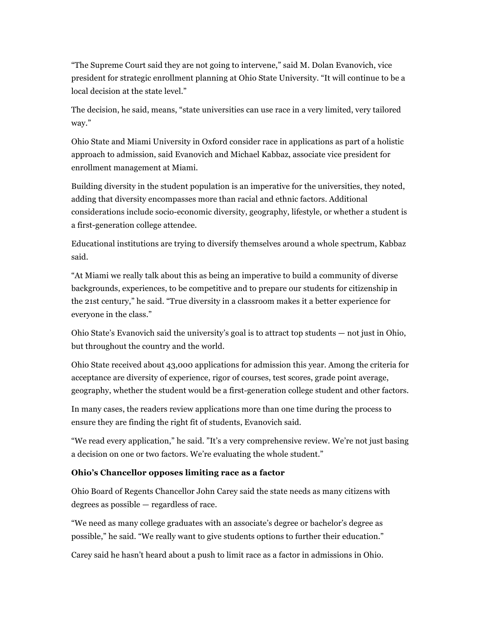"The Supreme Court said they are not going to intervene," said M. Dolan Evanovich, vice president for strategic enrollment planning at Ohio State University. "It will continue to be a local decision at the state level."

The decision, he said, means, "state universities can use race in a very limited, very tailored way."

Ohio State and Miami University in Oxford consider race in applications as part of a holistic approach to admission, said Evanovich and Michael Kabbaz, associate vice president for enrollment management at Miami.

Building diversity in the student population is an imperative for the universities, they noted, adding that diversity encompasses more than racial and ethnic factors. Additional considerations include socio-economic diversity, geography, lifestyle, or whether a student is a first-generation college attendee.

Educational institutions are trying to diversify themselves around a whole spectrum, Kabbaz said.

"At Miami we really talk about this as being an imperative to build a community of diverse backgrounds, experiences, to be competitive and to prepare our students for citizenship in the 21st century," he said. "True diversity in a classroom makes it a better experience for everyone in the class."

Ohio State's Evanovich said the university's goal is to attract top students — not just in Ohio, but throughout the country and the world.

Ohio State received about 43,000 applications for admission this year. Among the criteria for acceptance are diversity of experience, rigor of courses, test scores, grade point average, geography, whether the student would be a first-generation college student and other factors.

In many cases, the readers review applications more than one time during the process to ensure they are finding the right fit of students, Evanovich said.

"We read every application," he said. "It's a very comprehensive review. We're not just basing a decision on one or two factors. We're evaluating the whole student."

## **Ohio's Chancellor opposes limiting race as a factor**

Ohio Board of Regents Chancellor John Carey said the state needs as many citizens with degrees as possible — regardless of race.

"We need as many college graduates with an associate's degree or bachelor's degree as possible," he said. "We really want to give students options to further their education."

Carey said he hasn't heard about a push to limit race as a factor in admissions in Ohio.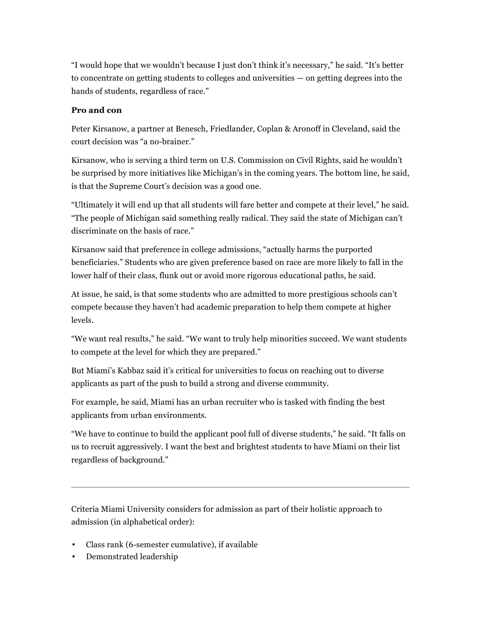"I would hope that we wouldn't because I just don't think it's necessary," he said. "It's better to concentrate on getting students to colleges and universities — on getting degrees into the hands of students, regardless of race."

## **Pro and con**

Peter Kirsanow, a partner at Benesch, Friedlander, Coplan & Aronoff in Cleveland, said the court decision was "a no-brainer."

Kirsanow, who is serving a third term on U.S. Commission on Civil Rights, said he wouldn't be surprised by more initiatives like Michigan's in the coming years. The bottom line, he said, is that the Supreme Court's decision was a good one.

"Ultimately it will end up that all students will fare better and compete at their level," he said. "The people of Michigan said something really radical. They said the state of Michigan can't discriminate on the basis of race."

Kirsanow said that preference in college admissions, "actually harms the purported beneficiaries." Students who are given preference based on race are more likely to fall in the lower half of their class, flunk out or avoid more rigorous educational paths, he said.

At issue, he said, is that some students who are admitted to more prestigious schools can't compete because they haven't had academic preparation to help them compete at higher levels.

"We want real results," he said. "We want to truly help minorities succeed. We want students to compete at the level for which they are prepared."

But Miami's Kabbaz said it's critical for universities to focus on reaching out to diverse applicants as part of the push to build a strong and diverse community.

For example, he said, Miami has an urban recruiter who is tasked with finding the best applicants from urban environments.

"We have to continue to build the applicant pool full of diverse students," he said. "It falls on us to recruit aggressively. I want the best and brightest students to have Miami on their list regardless of background."

Criteria Miami University considers for admission as part of their holistic approach to admission (in alphabetical order):

- Class rank (6-semester cumulative), if available
- Demonstrated leadership